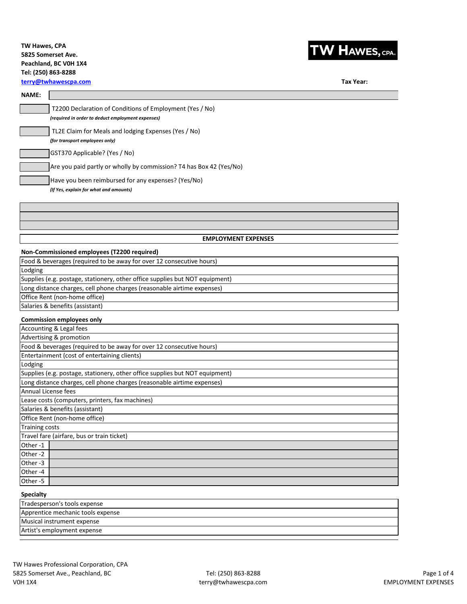## **TW Hawes, CPA 5825 Somerset Ave. Peachland, BC V0H 1X4 Tel: (250) 863-8288**



# **TW HAWES, CPA.**

**Tax Year:**

### **NAME:**

| T2200 Declaration of Conditions of Employment (Yes / No)<br>(required in order to deduct employment expenses) |  |  |
|---------------------------------------------------------------------------------------------------------------|--|--|
| TL2E Claim for Meals and lodging Expenses (Yes / No)<br>(for transport employees only)                        |  |  |
| GST370 Applicable? (Yes / No)                                                                                 |  |  |
| Are you paid partly or wholly by commission? T4 has Box 42 (Yes/No)                                           |  |  |
| Have you been reimbursed for any expenses? (Yes/No)<br>(If Yes, explain for what and amounts)                 |  |  |
|                                                                                                               |  |  |
|                                                                                                               |  |  |
| <b>EMPLOYMENT EXPENSES</b>                                                                                    |  |  |
| Non-Commissioned employees (T2200 required)                                                                   |  |  |
| Food & beverages (required to be away for over 12 consecutive hours)                                          |  |  |
| Lodging                                                                                                       |  |  |
| Supplies (e.g. postage, stationery, other office supplies but NOT equipment)                                  |  |  |

Long distance charges, cell phone charges (reasonable airtime expenses) Office Rent (non-home office)

Salaries & benefits (assistant)

#### **Commission employees only**

| Accounting & Legal fees                                                      |  |  |  |
|------------------------------------------------------------------------------|--|--|--|
| Advertising & promotion                                                      |  |  |  |
| Food & beverages (required to be away for over 12 consecutive hours)         |  |  |  |
| Entertainment (cost of entertaining clients)                                 |  |  |  |
| Lodging                                                                      |  |  |  |
| Supplies (e.g. postage, stationery, other office supplies but NOT equipment) |  |  |  |
| Long distance charges, cell phone charges (reasonable airtime expenses)      |  |  |  |
| Annual License fees                                                          |  |  |  |
| Lease costs (computers, printers, fax machines)                              |  |  |  |
| Salaries & benefits (assistant)                                              |  |  |  |
| Office Rent (non-home office)                                                |  |  |  |
| <b>Training costs</b>                                                        |  |  |  |
| Travel fare (airfare, bus or train ticket)                                   |  |  |  |
| Other-1                                                                      |  |  |  |
| Other-2                                                                      |  |  |  |
| Other-3                                                                      |  |  |  |
| Other-4                                                                      |  |  |  |
| Other-5                                                                      |  |  |  |
|                                                                              |  |  |  |

## **Specialty**

| Tradesperson's tools expense      |
|-----------------------------------|
| Apprentice mechanic tools expense |
| Musical instrument expense        |
| Artist's employment expense       |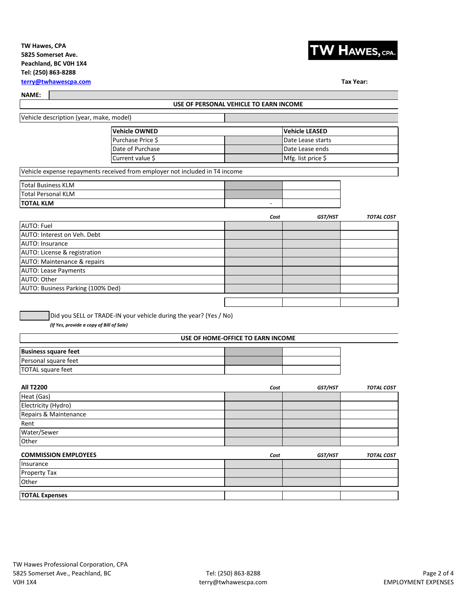## **TW Hawes, CPA 5825 Somerset Ave. Peachland, BC V0H 1X4 Tel: (250) 863-8288**



**Tax Year:**

**[terry@tw](mailto:terry@twhawescpa.com)hawescpa.com**

**NAME:** 

| <b>NAME:</b>                                                                |                                        |                       |                   |
|-----------------------------------------------------------------------------|----------------------------------------|-----------------------|-------------------|
|                                                                             | USE OF PERSONAL VEHICLE TO EARN INCOME |                       |                   |
| Vehicle description (year, make, model)                                     |                                        |                       |                   |
| <b>Vehicle OWNED</b>                                                        |                                        | <b>Vehicle LEASED</b> |                   |
| Purchase Price \$                                                           |                                        | Date Lease starts     |                   |
| Date of Purchase                                                            |                                        | Date Lease ends       |                   |
| Current value \$                                                            |                                        | Mfg. list price \$    |                   |
| Vehicle expense repayments received from employer not included in T4 income |                                        |                       |                   |
| <b>Total Business KLM</b>                                                   |                                        |                       |                   |
| <b>Total Personal KLM</b>                                                   |                                        |                       |                   |
| <b>TOTAL KLM</b>                                                            | $\overline{\phantom{a}}$               |                       |                   |
|                                                                             | Cost                                   | GST/HST               | <b>TOTAL COST</b> |
| <b>AUTO: Fuel</b>                                                           |                                        |                       |                   |
| AUTO: Interest on Veh. Debt                                                 |                                        |                       |                   |
| AUTO: Insurance                                                             |                                        |                       |                   |
| AUTO: License & registration                                                |                                        |                       |                   |
| AUTO: Maintenance & repairs                                                 |                                        |                       |                   |
| AUTO: Lease Payments                                                        |                                        |                       |                   |
| AUTO: Other                                                                 |                                        |                       |                   |
| AUTO: Business Parking (100% Ded)                                           |                                        |                       |                   |
|                                                                             |                                        |                       |                   |
|                                                                             |                                        |                       |                   |
| Did you SELL or TRADE-IN your vehicle during the year? (Yes / No)           |                                        |                       |                   |
| (If Yes, provide a copy of Bill of Sale)                                    |                                        |                       |                   |
|                                                                             | USE OF HOME-OFFICE TO EARN INCOME      |                       |                   |
| <b>Business square feet</b>                                                 |                                        |                       |                   |
| Personal square feet                                                        |                                        |                       |                   |
| <b>TOTAL square feet</b>                                                    |                                        |                       |                   |
|                                                                             |                                        |                       |                   |
| <b>All T2200</b>                                                            | Cost                                   | GST/HST               | <b>TOTAL COST</b> |
| Heat (Gas)                                                                  |                                        |                       |                   |
| Electricity (Hydro)                                                         |                                        |                       |                   |
| Repairs & Maintenance                                                       |                                        |                       |                   |
| Rent                                                                        |                                        |                       |                   |
| Water/Sewer                                                                 |                                        |                       |                   |
| Other                                                                       |                                        |                       |                   |
| <b>COMMISSION EMPLOYEES</b>                                                 | Cost                                   | GST/HST               | <b>TOTAL COST</b> |
| Insurance                                                                   |                                        |                       |                   |
| <b>Property Tax</b>                                                         |                                        |                       |                   |
| Other                                                                       |                                        |                       |                   |
| <b>TOTAL Expenses</b>                                                       |                                        |                       |                   |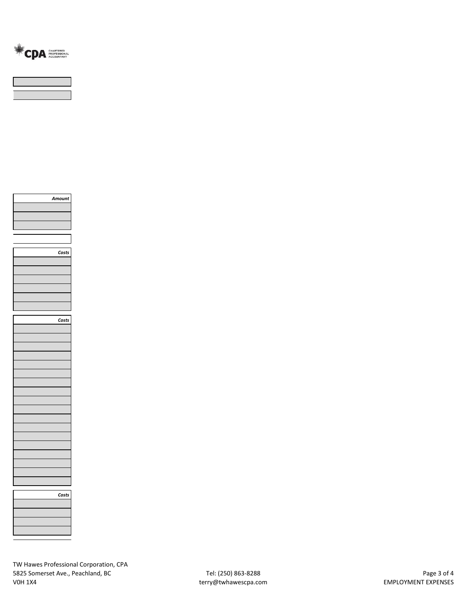